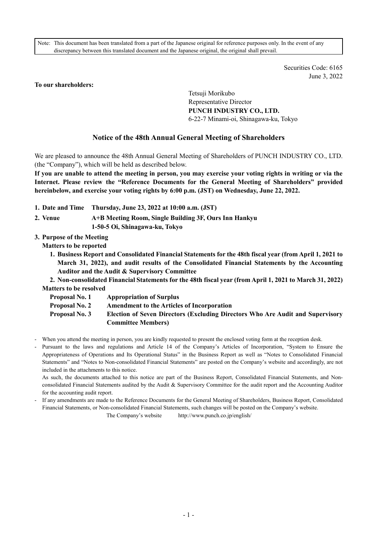Note: This document has been translated from a part of the Japanese original for reference purposes only. In the event of any discrepancy between this translated document and the Japanese original, the original shall prevail.

> Securities Code: 6165 June 3, 2022

#### **To our shareholders:**

Tetsuji Morikubo Representative Director **PUNCH INDUSTRY CO., LTD.**  6-22-7 Minami-oi, Shinagawa-ku, Tokyo

## **Notice of the 48th Annual General Meeting of Shareholders**

We are pleased to announce the 48th Annual General Meeting of Shareholders of PUNCH INDUSTRY CO., LTD. (the "Company"), which will be held as described below.

**If you are unable to attend the meeting in person, you may exercise your voting rights in writing or via the Internet. Please review the "Reference Documents for the General Meeting of Shareholders" provided hereinbelow, and exercise your voting rights by 6:00 p.m. (JST) on Wednesday, June 22, 2022.** 

- **1. Date and Time Thursday, June 23, 2022 at 10:00 a.m. (JST)**
- **2. Venue A+B Meeting Room, Single Building 3F, Ours Inn Hankyu** 
	- **1-50-5 Oi, Shinagawa-ku, Tokyo**
- **3. Purpose of the Meeting**

**Matters to be reported** 

**1. Business Report and Consolidated Financial Statements for the 48th fiscal year (from April 1, 2021 to March 31, 2022), and audit results of the Consolidated Financial Statements by the Accounting Auditor and the Audit & Supervisory Committee** 

**2. Non-consolidated Financial Statements for the 48th fiscal year (from April 1, 2021 to March 31, 2022) Matters to be resolved** 

- **Proposal No. 1 Appropriation of Surplus**
- **Proposal No. 2 Amendment to the Articles of Incorporation**

**Proposal No. 3 Election of Seven Directors (Excluding Directors Who Are Audit and Supervisory Committee Members)** 

- When you attend the meeting in person, you are kindly requested to present the enclosed voting form at the reception desk.

Pursuant to the laws and regulations and Article 14 of the Company's Articles of Incorporation, "System to Ensure the Appropriateness of Operations and Its Operational Status" in the Business Report as well as "Notes to Consolidated Financial Statements" and "Notes to Non-consolidated Financial Statements" are posted on the Company's website and accordingly, are not included in the attachments to this notice.

As such, the documents attached to this notice are part of the Business Report, Consolidated Financial Statements, and Nonconsolidated Financial Statements audited by the Audit & Supervisory Committee for the audit report and the Accounting Auditor for the accounting audit report.

- If any amendments are made to the Reference Documents for the General Meeting of Shareholders, Business Report, Consolidated Financial Statements, or Non-consolidated Financial Statements, such changes will be posted on the Company's website.

The Company's website http://www.punch.co.jp/english/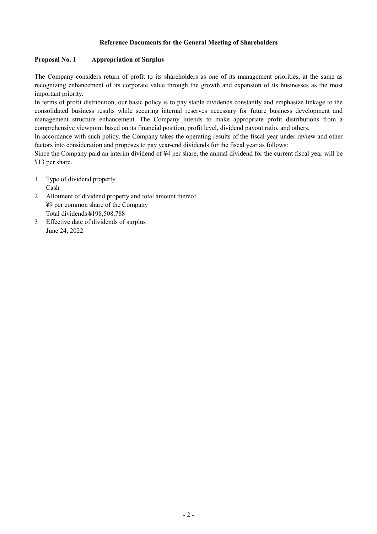### **Reference Documents for the General Meeting of Shareholders**

#### **Proposal No. 1 Appropriation of Surplus**

The Company considers return of profit to its shareholders as one of its management priorities, at the same as recognizing enhancement of its corporate value through the growth and expansion of its businesses as the most important priority.

In terms of profit distribution, our basic policy is to pay stable dividends constantly and emphasize linkage to the consolidated business results while securing internal reserves necessary for future business development and management structure enhancement. The Company intends to make appropriate profit distributions from a comprehensive viewpoint based on its financial position, profit level, dividend payout ratio, and others.

In accordance with such policy, the Company takes the operating results of the fiscal year under review and other factors into consideration and proposes to pay year-end dividends for the fiscal year as follows:

Since the Company paid an interim dividend of ¥4 per share, the annual dividend for the current fiscal year will be ¥13 per share.

1 Type of dividend property

Cash

- 2 Allotment of dividend property and total amount thereof ¥9 per common share of the Company Total dividends ¥198,508,788
- 3 Effective date of dividends of surplus June 24, 2022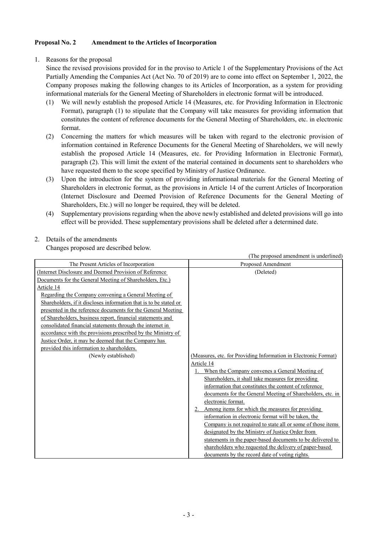## **Proposal No. 2 Amendment to the Articles of Incorporation**

1. Reasons for the proposal

Since the revised provisions provided for in the proviso to Article 1 of the Supplementary Provisions of the Act Partially Amending the Companies Act (Act No. 70 of 2019) are to come into effect on September 1, 2022, the Company proposes making the following changes to its Articles of Incorporation, as a system for providing informational materials for the General Meeting of Shareholders in electronic format will be introduced.

- (1) We will newly establish the proposed Article 14 (Measures, etc. for Providing Information in Electronic Format), paragraph (1) to stipulate that the Company will take measures for providing information that constitutes the content of reference documents for the General Meeting of Shareholders, etc. in electronic format.
- (2) Concerning the matters for which measures will be taken with regard to the electronic provision of information contained in Reference Documents for the General Meeting of Shareholders, we will newly establish the proposed Article 14 (Measures, etc. for Providing Information in Electronic Format), paragraph (2). This will limit the extent of the material contained in documents sent to shareholders who have requested them to the scope specified by Ministry of Justice Ordinance.
- (3) Upon the introduction for the system of providing informational materials for the General Meeting of Shareholders in electronic format, as the provisions in Article 14 of the current Articles of Incorporation (Internet Disclosure and Deemed Provision of Reference Documents for the General Meeting of Shareholders, Etc.) will no longer be required, they will be deleted.
- (4) Supplementary provisions regarding when the above newly established and deleted provisions will go into effect will be provided. These supplementary provisions shall be deleted after a determined date.

(The proposed amendment is underlined)

# 2. Details of the amendments

Changes proposed are described below.

| The Present Articles of Incorporation                                                                                                                                                                                                                                                                                                                                                                                                                                                                                           | The proposed amendment to andertime<br>Proposed Amendment                                                                                                                                                                                                                                                                                                                                                                                                                                                                                                                                                                                                                                                                                     |
|---------------------------------------------------------------------------------------------------------------------------------------------------------------------------------------------------------------------------------------------------------------------------------------------------------------------------------------------------------------------------------------------------------------------------------------------------------------------------------------------------------------------------------|-----------------------------------------------------------------------------------------------------------------------------------------------------------------------------------------------------------------------------------------------------------------------------------------------------------------------------------------------------------------------------------------------------------------------------------------------------------------------------------------------------------------------------------------------------------------------------------------------------------------------------------------------------------------------------------------------------------------------------------------------|
| (Internet Disclosure and Deemed Provision of Reference)                                                                                                                                                                                                                                                                                                                                                                                                                                                                         | (Deleted)                                                                                                                                                                                                                                                                                                                                                                                                                                                                                                                                                                                                                                                                                                                                     |
| Documents for the General Meeting of Shareholders, Etc.)                                                                                                                                                                                                                                                                                                                                                                                                                                                                        |                                                                                                                                                                                                                                                                                                                                                                                                                                                                                                                                                                                                                                                                                                                                               |
|                                                                                                                                                                                                                                                                                                                                                                                                                                                                                                                                 |                                                                                                                                                                                                                                                                                                                                                                                                                                                                                                                                                                                                                                                                                                                                               |
| Article 14<br>Regarding the Company convening a General Meeting of<br>Shareholders, if it discloses information that is to be stated or<br>presented in the reference documents for the General Meeting<br>of Shareholders, business report, financial statements and<br>consolidated financial statements through the internet in<br>accordance with the provisions prescribed by the Ministry of<br>Justice Order, it may be deemed that the Company has<br>provided this information to shareholders.<br>(Newly established) | (Measures, etc. for Providing Information in Electronic Format)<br>Article 14<br>When the Company convenes a General Meeting of<br>Shareholders, it shall take measures for providing<br>information that constitutes the content of reference<br>documents for the General Meeting of Shareholders, etc. in<br>electronic format.<br>2. Among items for which the measures for providing<br>information in electronic format will be taken, the<br>Company is not required to state all or some of those items<br>designated by the Ministry of Justice Order from<br>statements in the paper-based documents to be delivered to<br>shareholders who requested the delivery of paper-based<br>documents by the record date of voting rights. |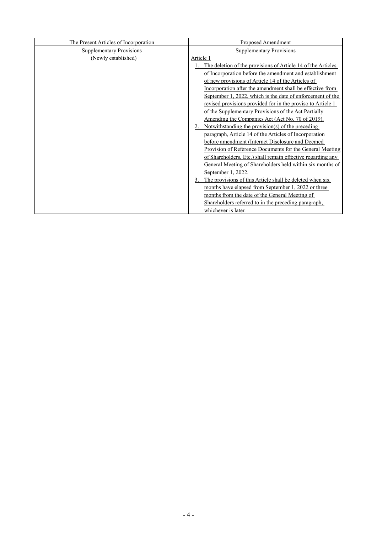| The Present Articles of Incorporation | Proposed Amendment                                             |
|---------------------------------------|----------------------------------------------------------------|
| <b>Supplementary Provisions</b>       | <b>Supplementary Provisions</b>                                |
| (Newly established)                   | Article 1                                                      |
|                                       | The deletion of the provisions of Article 14 of the Articles   |
|                                       | of Incorporation before the amendment and establishment        |
|                                       | of new provisions of Article 14 of the Articles of             |
|                                       | Incorporation after the amendment shall be effective from      |
|                                       | September 1, 2022, which is the date of enforcement of the     |
|                                       | revised provisions provided for in the proviso to Article 1    |
|                                       | of the Supplementary Provisions of the Act Partially           |
|                                       | Amending the Companies Act (Act No. 70 of 2019).               |
|                                       | Notwithstanding the provision(s) of the preceding              |
|                                       | paragraph, Article 14 of the Articles of Incorporation         |
|                                       | before amendment (Internet Disclosure and Deemed               |
|                                       | Provision of Reference Documents for the General Meeting       |
|                                       | of Shareholders, Etc.) shall remain effective regarding any    |
|                                       | General Meeting of Shareholders held within six months of      |
|                                       | September 1, 2022.                                             |
|                                       | The provisions of this Article shall be deleted when six<br>3. |
|                                       | months have elapsed from September 1, 2022 or three            |
|                                       | months from the date of the General Meeting of                 |
|                                       | Shareholders referred to in the preceding paragraph,           |
|                                       | whichever is later.                                            |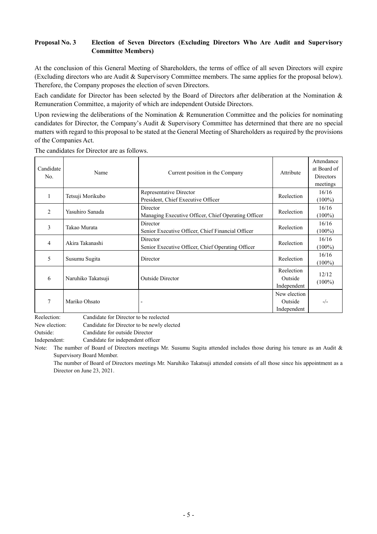# **Proposal No. 3 Election of Seven Directors (Excluding Directors Who Are Audit and Supervisory Committee Members)**

At the conclusion of this General Meeting of Shareholders, the terms of office of all seven Directors will expire (Excluding directors who are Audit & Supervisory Committee members. The same applies for the proposal below). Therefore, the Company proposes the election of seven Directors.

Each candidate for Director has been selected by the Board of Directors after deliberation at the Nomination & Remuneration Committee, a majority of which are independent Outside Directors.

Upon reviewing the deliberations of the Nomination & Remuneration Committee and the policies for nominating candidates for Director, the Company's Audit & Supervisory Committee has determined that there are no special matters with regard to this proposal to be stated at the General Meeting of Shareholders as required by the provisions of the Companies Act.

| Candidate<br>No. | Name               | Current position in the Company                                 | Attribute                              | Attendance<br>at Board of<br><b>Directors</b><br>meetings |
|------------------|--------------------|-----------------------------------------------------------------|----------------------------------------|-----------------------------------------------------------|
| 1                | Tetsuji Morikubo   | Representative Director<br>President, Chief Executive Officer   | Reelection                             | 16/16<br>$(100\%)$                                        |
| 2                | Yasuhiro Sanada    | Director<br>Managing Executive Officer, Chief Operating Officer | Reelection                             | 16/16<br>$(100\%)$                                        |
| 3                | Takao Murata       | Director<br>Senior Executive Officer, Chief Financial Officer   | Reelection                             | 16/16<br>$(100\%)$                                        |
| $\overline{4}$   | Akira Takanashi    | Director<br>Senior Executive Officer, Chief Operating Officer   | Reelection                             | 16/16<br>$(100\%)$                                        |
| 5                | Susumu Sugita      | Director                                                        | Reelection                             | 16/16<br>$(100\%)$                                        |
| 6                | Naruhiko Takatsuji | <b>Outside Director</b>                                         | Reelection<br>Outside<br>Independent   | 12/12<br>$(100\%)$                                        |
| 7                | Mariko Ohsato      |                                                                 | New election<br>Outside<br>Independent | $-/-$                                                     |

The candidates for Director are as follows.

Reelection: Candidate for Director to be reelected

New election: Candidate for Director to be newly elected

Outside: Candidate for outside Director

Independent: Candidate for independent officer

Note: The number of Board of Directors meetings Mr. Susumu Sugita attended includes those during his tenure as an Audit & Supervisory Board Member.

The number of Board of Directors meetings Mr. Naruhiko Takatsuji attended consists of all those since his appointment as a Director on June 23, 2021.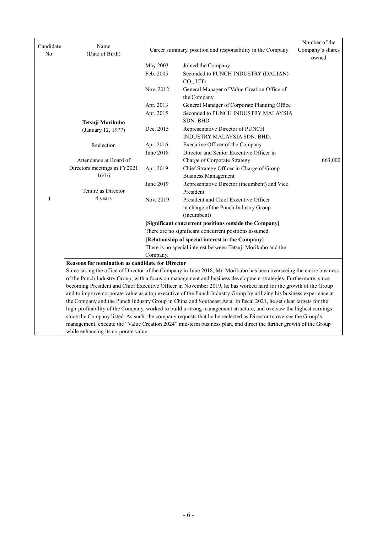| Candidate | Name                                             |                                                            |                                                                                                                       | Number of the |  |
|-----------|--------------------------------------------------|------------------------------------------------------------|-----------------------------------------------------------------------------------------------------------------------|---------------|--|
| No.       | (Date of Birth)                                  | Career summary, position and responsibility in the Company | Company's shares                                                                                                      |               |  |
|           |                                                  |                                                            |                                                                                                                       | owned         |  |
|           |                                                  | May 2003                                                   | Joined the Company                                                                                                    |               |  |
|           |                                                  | Feb. 2005                                                  | Seconded to PUNCH INDUSTRY (DALIAN)                                                                                   |               |  |
|           |                                                  |                                                            | CO., LTD.                                                                                                             |               |  |
|           |                                                  | Nov. 2012                                                  | General Manager of Value Creation Office of<br>the Company                                                            |               |  |
|           |                                                  | Apr. 2013                                                  | General Manager of Corporate Planning Office                                                                          |               |  |
|           |                                                  | Apr. 2015                                                  | Seconded to PUNCH INDUSTRY MALAYSIA                                                                                   |               |  |
|           | Tetsuji Morikubo                                 |                                                            | SDN. BHD.                                                                                                             |               |  |
|           | (January 12, 1977)                               | Dec. 2015                                                  | Representative Director of PUNCH<br>INDUSTRY MALAYSIA SDN. BHD.                                                       |               |  |
|           | Reelection                                       | Apr. 2016                                                  | Executive Officer of the Company                                                                                      |               |  |
|           |                                                  | <b>June 2018</b>                                           | Director and Senior Executive Officer in                                                                              |               |  |
|           | Attendance at Board of                           |                                                            | Charge of Corporate Strategy                                                                                          | 663,000       |  |
|           | Directors meetings in FY2021                     | Apr. 2019                                                  | Chief Strategy Officer in Charge of Group                                                                             |               |  |
|           | 16/16                                            |                                                            | <b>Business Management</b>                                                                                            |               |  |
|           | Tenure as Director                               | June 2019                                                  | Representative Director (incumbent) and Vice<br>President                                                             |               |  |
| 1         | 4 years                                          | Nov. 2019                                                  | President and Chief Executive Officer                                                                                 |               |  |
|           |                                                  |                                                            | in charge of the Punch Industry Group                                                                                 |               |  |
|           |                                                  |                                                            | (incumbent)                                                                                                           |               |  |
|           |                                                  | [Significant concurrent positions outside the Company]     |                                                                                                                       |               |  |
|           |                                                  |                                                            | There are no significant concurrent positions assumed.                                                                |               |  |
|           |                                                  |                                                            | [Relationship of special interest in the Company]                                                                     |               |  |
|           |                                                  |                                                            | There is no special interest between Tetsuji Morikubo and the                                                         |               |  |
|           |                                                  | Company.                                                   |                                                                                                                       |               |  |
|           | Reasons for nomination as candidate for Director |                                                            |                                                                                                                       |               |  |
|           |                                                  |                                                            | Since taking the office of Director of the Company in June 2018, Mr. Morikubo has been overseeing the entire business |               |  |
|           |                                                  |                                                            | of the Punch Industry Group, with a focus on management and business development strategies. Furthermore, since       |               |  |
|           |                                                  |                                                            | becoming President and Chief Executive Officer in November 2019, he has worked hard for the growth of the Group       |               |  |
|           |                                                  |                                                            | and to improve corporate value as a top executive of the Punch Industry Group by utilizing his business experience at |               |  |
|           |                                                  |                                                            | the Company and the Punch Industry Group in China and Southeast Asia. In fiscal 2021, he set clear targets for the    |               |  |
|           |                                                  |                                                            | high-profitability of the Company, worked to build a strong management structure, and oversaw the highest earnings    |               |  |
|           |                                                  |                                                            | since the Company listed. As such, the company requests that he be reelected as Director to oversee the Group's       |               |  |
|           | while enhancing its corporate value.             |                                                            | management, execute the "Value Creation 2024" mid-term business plan, and direct the further growth of the Group      |               |  |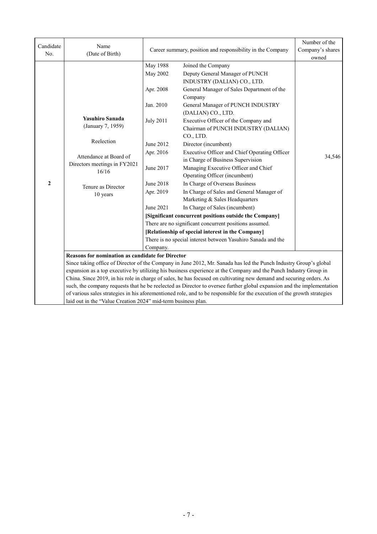| Candidate    | Name                                                          |                                                        | Career summary, position and responsibility in the Company                                                                                                                                                                            | Number of the<br>Company's shares |  |  |
|--------------|---------------------------------------------------------------|--------------------------------------------------------|---------------------------------------------------------------------------------------------------------------------------------------------------------------------------------------------------------------------------------------|-----------------------------------|--|--|
| No.          | (Date of Birth)                                               |                                                        |                                                                                                                                                                                                                                       |                                   |  |  |
|              |                                                               | <b>May 1988</b><br>May 2002                            | Joined the Company<br>Deputy General Manager of PUNCH                                                                                                                                                                                 |                                   |  |  |
|              |                                                               |                                                        | INDUSTRY (DALIAN) CO., LTD.                                                                                                                                                                                                           |                                   |  |  |
|              |                                                               | Apr. 2008                                              | General Manager of Sales Department of the                                                                                                                                                                                            |                                   |  |  |
|              |                                                               |                                                        | Company                                                                                                                                                                                                                               |                                   |  |  |
|              |                                                               | Jan. 2010                                              | General Manager of PUNCH INDUSTRY<br>(DALIAN) CO., LTD.                                                                                                                                                                               |                                   |  |  |
|              | <b>Yasuhiro Sanada</b>                                        | <b>July 2011</b>                                       | Executive Officer of the Company and                                                                                                                                                                                                  |                                   |  |  |
|              | (January 7, 1959)                                             |                                                        | Chairman of PUNCH INDUSTRY (DALIAN)                                                                                                                                                                                                   |                                   |  |  |
|              | Reelection                                                    |                                                        | CO., LTD.                                                                                                                                                                                                                             |                                   |  |  |
|              |                                                               | June 2012                                              | Director (incumbent)                                                                                                                                                                                                                  |                                   |  |  |
|              | Attendance at Board of                                        | Apr. 2016                                              | Executive Officer and Chief Operating Officer                                                                                                                                                                                         | 34,546                            |  |  |
|              | Directors meetings in FY2021                                  | June 2017                                              | in Charge of Business Supervision<br>Managing Executive Officer and Chief                                                                                                                                                             |                                   |  |  |
|              | 16/16                                                         |                                                        | Operating Officer (incumbent)                                                                                                                                                                                                         |                                   |  |  |
| $\mathbf{2}$ |                                                               | June 2018                                              | In Charge of Overseas Business                                                                                                                                                                                                        |                                   |  |  |
|              | Tenure as Director<br>10 years                                | Apr. 2019                                              | In Charge of Sales and General Manager of                                                                                                                                                                                             |                                   |  |  |
|              |                                                               |                                                        | Marketing & Sales Headquarters                                                                                                                                                                                                        |                                   |  |  |
|              |                                                               | June 2021                                              | In Charge of Sales (incumbent)                                                                                                                                                                                                        |                                   |  |  |
|              |                                                               | [Significant concurrent positions outside the Company] |                                                                                                                                                                                                                                       |                                   |  |  |
|              |                                                               |                                                        | There are no significant concurrent positions assumed.                                                                                                                                                                                |                                   |  |  |
|              |                                                               |                                                        | [Relationship of special interest in the Company]                                                                                                                                                                                     |                                   |  |  |
|              |                                                               |                                                        | There is no special interest between Yasuhiro Sanada and the                                                                                                                                                                          |                                   |  |  |
|              |                                                               | Company.                                               |                                                                                                                                                                                                                                       |                                   |  |  |
|              | <b>Reasons for nomination as candidate for Director</b>       |                                                        |                                                                                                                                                                                                                                       |                                   |  |  |
|              |                                                               |                                                        | Since taking office of Director of the Company in June 2012, Mr. Sanada has led the Punch Industry Group's global<br>expansion as a top executive by utilizing his business experience at the Company and the Punch Industry Group in |                                   |  |  |
|              |                                                               |                                                        | China. Since 2019, in his role in charge of sales, he has focused on cultivating new demand and securing orders. As                                                                                                                   |                                   |  |  |
|              |                                                               |                                                        | such, the company requests that he be reelected as Director to oversee further global expansion and the implementation                                                                                                                |                                   |  |  |
|              |                                                               |                                                        | of various sales strategies in his aforementioned role, and to be responsible for the execution of the growth strategies                                                                                                              |                                   |  |  |
|              | laid out in the "Value Creation 2024" mid-term business plan. |                                                        |                                                                                                                                                                                                                                       |                                   |  |  |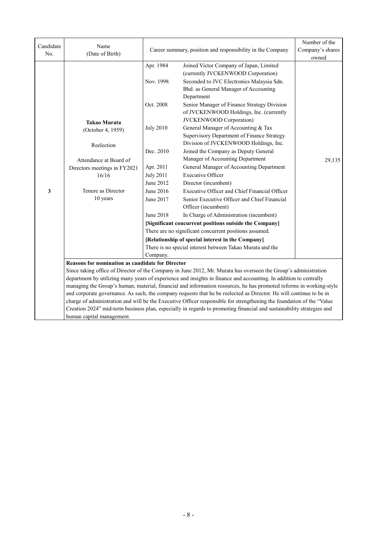| Candidate | Name                                             |                                                            |                                                                                                                       | Number of the |
|-----------|--------------------------------------------------|------------------------------------------------------------|-----------------------------------------------------------------------------------------------------------------------|---------------|
| No.       | (Date of Birth)                                  | Career summary, position and responsibility in the Company | Company's shares                                                                                                      |               |
|           |                                                  |                                                            |                                                                                                                       | owned         |
|           |                                                  | Apr. 1984                                                  | Joined Victor Company of Japan, Limited                                                                               |               |
|           |                                                  |                                                            | (currently JVCKENWOOD Corporation)                                                                                    |               |
|           |                                                  | Nov. 1998                                                  | Seconded to JVC Electronics Malaysia Sdn.                                                                             |               |
|           |                                                  |                                                            | Bhd. as General Manager of Accounting                                                                                 |               |
|           |                                                  |                                                            | Department                                                                                                            |               |
|           |                                                  | Oct. 2008                                                  | Senior Manager of Finance Strategy Division                                                                           |               |
|           |                                                  |                                                            | of JVCKENWOOD Holdings, Inc. (currently                                                                               |               |
|           | <b>Takao Murata</b>                              |                                                            | <b>JVCKENWOOD</b> Corporation)                                                                                        |               |
|           | (October 4, 1959)                                | <b>July 2010</b>                                           | General Manager of Accounting & Tax                                                                                   |               |
|           |                                                  |                                                            | Supervisory Department of Finance Strategy                                                                            |               |
|           | Reelection                                       |                                                            | Division of JVCKENWOOD Holdings, Inc.                                                                                 |               |
|           |                                                  | Dec. 2010                                                  | Joined the Company as Deputy General                                                                                  |               |
|           | Attendance at Board of                           |                                                            | Manager of Accounting Department                                                                                      | 29,135        |
|           | Directors meetings in FY2021                     | Apr. 2011                                                  | General Manager of Accounting Department                                                                              |               |
|           | 16/16                                            | <b>July 2011</b>                                           | <b>Executive Officer</b>                                                                                              |               |
|           |                                                  | June 2012                                                  | Director (incumbent)                                                                                                  |               |
| 3         | Tenure as Director                               | June 2016                                                  | Executive Officer and Chief Financial Officer                                                                         |               |
|           | 10 years                                         | June 2017                                                  | Senior Executive Officer and Chief Financial                                                                          |               |
|           |                                                  |                                                            | Officer (incumbent)                                                                                                   |               |
|           |                                                  | <b>June 2018</b>                                           | In Charge of Administration (incumbent)                                                                               |               |
|           |                                                  |                                                            | [Significant concurrent positions outside the Company]                                                                |               |
|           |                                                  |                                                            | There are no significant concurrent positions assumed.                                                                |               |
|           |                                                  |                                                            | [Relationship of special interest in the Company]                                                                     |               |
|           |                                                  |                                                            | There is no special interest between Takao Murata and the                                                             |               |
|           |                                                  | Company.                                                   |                                                                                                                       |               |
|           | Reasons for nomination as candidate for Director |                                                            |                                                                                                                       |               |
|           |                                                  |                                                            | Since taking office of Director of the Company in June 2012, Mr. Murata has overseen the Group's administration       |               |
|           |                                                  |                                                            | department by utilizing many years of experience and insights in finance and accounting. In addition to centrally     |               |
|           |                                                  |                                                            | managing the Group's human, material, financial and information resources, he has promoted reforms in working-style   |               |
|           |                                                  |                                                            | and corporate governance. As such, the company requests that he be reelected as Director. He will continue to be in   |               |
|           |                                                  |                                                            | charge of administration and will be the Executive Officer responsible for strengthening the foundation of the "Value |               |
|           |                                                  |                                                            | Creation 2024" mid-term business plan, especially in regards to promoting financial and sustainability strategies and |               |
|           | human capital management.                        |                                                            |                                                                                                                       |               |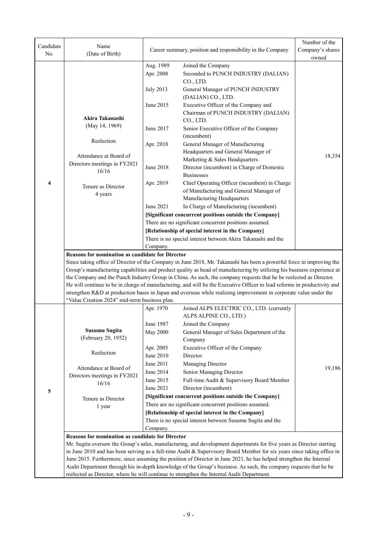| Candidate | Name                                             |                        | Career summary, position and responsibility in the Company                                                                                                                                                                                       | Number of the<br>Company's shares |  |  |
|-----------|--------------------------------------------------|------------------------|--------------------------------------------------------------------------------------------------------------------------------------------------------------------------------------------------------------------------------------------------|-----------------------------------|--|--|
| No.       | (Date of Birth)                                  |                        |                                                                                                                                                                                                                                                  |                                   |  |  |
|           |                                                  | Aug. 1989              | Joined the Company                                                                                                                                                                                                                               |                                   |  |  |
|           |                                                  | Apr. 2008              | Seconded to PUNCH INDUSTRY (DALIAN)<br>CO., LTD.                                                                                                                                                                                                 |                                   |  |  |
|           |                                                  | <b>July 2013</b>       | General Manager of PUNCH INDUSTRY                                                                                                                                                                                                                |                                   |  |  |
|           |                                                  |                        | (DALIAN) CO., LTD.                                                                                                                                                                                                                               |                                   |  |  |
|           |                                                  | June 2015              | Executive Officer of the Company and                                                                                                                                                                                                             |                                   |  |  |
|           | Akira Takanashi                                  |                        | Chairman of PUNCH INDUSTRY (DALIAN)<br>CO., LTD.                                                                                                                                                                                                 |                                   |  |  |
|           | (May 14, 1969)                                   | June 2017              | Senior Executive Officer of the Company                                                                                                                                                                                                          |                                   |  |  |
|           |                                                  |                        | (incumbent)                                                                                                                                                                                                                                      |                                   |  |  |
|           | Reelection                                       | Apr. 2018              | General Manager of Manufacturing                                                                                                                                                                                                                 |                                   |  |  |
|           |                                                  |                        | Headquarters and General Manager of                                                                                                                                                                                                              |                                   |  |  |
|           | Attendance at Board of                           |                        | Marketing & Sales Headquarters                                                                                                                                                                                                                   | 18,354                            |  |  |
|           | Directors meetings in FY2021                     | June 2018              | Director (incumbent) in Charge of Domestic                                                                                                                                                                                                       |                                   |  |  |
|           | 16/16                                            |                        | <b>Businesses</b>                                                                                                                                                                                                                                |                                   |  |  |
| 4         | Tenure as Director                               | Apr. 2019              | Chief Operating Officer (incumbent) in Charge                                                                                                                                                                                                    |                                   |  |  |
|           | 4 years                                          |                        | of Manufacturing and General Manager of                                                                                                                                                                                                          |                                   |  |  |
|           |                                                  |                        | Manufacturing Headquarters                                                                                                                                                                                                                       |                                   |  |  |
|           |                                                  | June 2021              | In Charge of Manufacturing (incumbent)                                                                                                                                                                                                           |                                   |  |  |
|           |                                                  |                        | [Significant concurrent positions outside the Company]                                                                                                                                                                                           |                                   |  |  |
|           |                                                  |                        | There are no significant concurrent positions assumed.                                                                                                                                                                                           |                                   |  |  |
|           |                                                  |                        | [Relationship of special interest in the Company]                                                                                                                                                                                                |                                   |  |  |
|           |                                                  |                        | There is no special interest between Akira Takanashi and the                                                                                                                                                                                     |                                   |  |  |
|           |                                                  | Company.               |                                                                                                                                                                                                                                                  |                                   |  |  |
|           | Reasons for nomination as candidate for Director |                        |                                                                                                                                                                                                                                                  |                                   |  |  |
|           |                                                  |                        | Since taking office of Director of the Company in June 2018, Mr. Takanashi has been a powerful force in improving the<br>Group's manufacturing capabilities and product quality as head of manufacturing by utilizing his business experience at |                                   |  |  |
|           |                                                  |                        | the Company and the Punch Industry Group in China. As such, the company requests that he be reelected as Director.                                                                                                                               |                                   |  |  |
|           |                                                  |                        | He will continue to be in charge of manufacturing, and will be the Executive Officer to lead reforms in productivity and                                                                                                                         |                                   |  |  |
|           |                                                  |                        | strengthen R&D at production bases in Japan and overseas while realizing improvement in corporate value under the                                                                                                                                |                                   |  |  |
|           | "Value Creation 2024" mid-term business plan.    |                        |                                                                                                                                                                                                                                                  |                                   |  |  |
|           |                                                  | Apr. 1970              | Joined ALPS ELECTRIC CO., LTD. (currently                                                                                                                                                                                                        |                                   |  |  |
|           |                                                  |                        | ALPS ALPINE CO., LTD.)                                                                                                                                                                                                                           |                                   |  |  |
|           |                                                  | June 1987              | Joined the Company                                                                                                                                                                                                                               |                                   |  |  |
|           | Susumu Sugita<br>(February 20, 1952)             | <b>May 2000</b>        | General Manager of Sales Department of the                                                                                                                                                                                                       |                                   |  |  |
|           |                                                  |                        | Company                                                                                                                                                                                                                                          |                                   |  |  |
|           | Reelection                                       | Apr. 2005              | Executive Officer of the Company                                                                                                                                                                                                                 |                                   |  |  |
|           |                                                  | June 2010              | Director                                                                                                                                                                                                                                         |                                   |  |  |
|           | Attendance at Board of                           | June 2011              | Managing Director                                                                                                                                                                                                                                | 19,186                            |  |  |
|           | Directors meetings in FY2021                     | June 2014              | Senior Managing Director                                                                                                                                                                                                                         |                                   |  |  |
|           | 16/16                                            | June 2015<br>June 2021 | Full-time Audit & Supervisory Board Member<br>Director (incumbent)                                                                                                                                                                               |                                   |  |  |
| 5         |                                                  |                        | [Significant concurrent positions outside the Company]                                                                                                                                                                                           |                                   |  |  |
|           | Tenure as Director                               |                        | There are no significant concurrent positions assumed.                                                                                                                                                                                           |                                   |  |  |
|           | 1 year                                           |                        | [Relationship of special interest in the Company]                                                                                                                                                                                                |                                   |  |  |
|           |                                                  |                        | There is no special interest between Susumu Sugita and the                                                                                                                                                                                       |                                   |  |  |
|           |                                                  | Company.               |                                                                                                                                                                                                                                                  |                                   |  |  |
|           | Reasons for nomination as candidate for Director |                        |                                                                                                                                                                                                                                                  |                                   |  |  |
|           |                                                  |                        | Mr. Sugita oversaw the Group's sales, manufacturing, and development departments for five years as Director starting                                                                                                                             |                                   |  |  |
|           |                                                  |                        | in June 2010 and has been serving as a full-time Audit & Supervisory Board Member for six years since taking office in                                                                                                                           |                                   |  |  |
|           |                                                  |                        | June 2015. Furthermore, since assuming the position of Director in June 2021, he has helped strengthen the Internal                                                                                                                              |                                   |  |  |
|           |                                                  |                        | Audit Department through his in-depth knowledge of the Group's business. As such, the company requests that he be                                                                                                                                |                                   |  |  |
|           |                                                  |                        | reelected as Director, where he will continue to strengthen the Internal Audit Department.                                                                                                                                                       |                                   |  |  |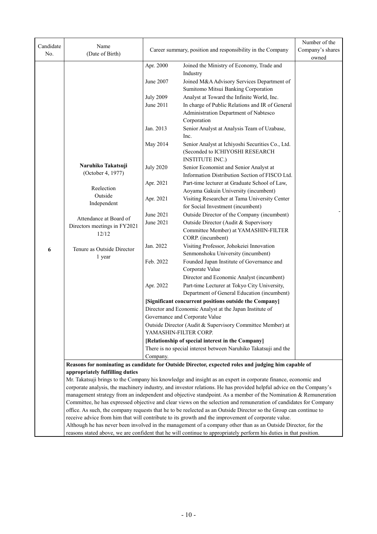|                  |                                                                                                                                                                                                                                       |                                                            |                                                                                                                   | Number of the |  |  |
|------------------|---------------------------------------------------------------------------------------------------------------------------------------------------------------------------------------------------------------------------------------|------------------------------------------------------------|-------------------------------------------------------------------------------------------------------------------|---------------|--|--|
| Candidate<br>No. | Name                                                                                                                                                                                                                                  | Career summary, position and responsibility in the Company | Company's shares                                                                                                  |               |  |  |
|                  | (Date of Birth)                                                                                                                                                                                                                       |                                                            | owned                                                                                                             |               |  |  |
|                  |                                                                                                                                                                                                                                       | Apr. 2000                                                  | Joined the Ministry of Economy, Trade and                                                                         |               |  |  |
|                  |                                                                                                                                                                                                                                       |                                                            | Industry                                                                                                          |               |  |  |
|                  |                                                                                                                                                                                                                                       | June 2007                                                  | Joined M&A Advisory Services Department of                                                                        |               |  |  |
|                  |                                                                                                                                                                                                                                       |                                                            | Sumitomo Mitsui Banking Corporation                                                                               |               |  |  |
|                  |                                                                                                                                                                                                                                       | <b>July 2009</b>                                           | Analyst at Toward the Infinite World, Inc.                                                                        |               |  |  |
|                  |                                                                                                                                                                                                                                       | June 2011                                                  | In charge of Public Relations and IR of General                                                                   |               |  |  |
|                  |                                                                                                                                                                                                                                       |                                                            | Administration Department of Nabtesco                                                                             |               |  |  |
|                  |                                                                                                                                                                                                                                       |                                                            | Corporation                                                                                                       |               |  |  |
|                  |                                                                                                                                                                                                                                       | Jan. 2013                                                  | Senior Analyst at Analysis Team of Uzabase,                                                                       |               |  |  |
|                  |                                                                                                                                                                                                                                       |                                                            | Inc.                                                                                                              |               |  |  |
|                  |                                                                                                                                                                                                                                       | May 2014                                                   | Senior Analyst at Ichiyoshi Securities Co., Ltd.                                                                  |               |  |  |
|                  |                                                                                                                                                                                                                                       |                                                            | (Seconded to ICHIYOSHI RESEARCH                                                                                   |               |  |  |
|                  |                                                                                                                                                                                                                                       |                                                            | <b>INSTITUTE INC.)</b>                                                                                            |               |  |  |
|                  | Naruhiko Takatsuji<br>(October 4, 1977)                                                                                                                                                                                               | <b>July 2020</b>                                           | Senior Economist and Senior Analyst at                                                                            |               |  |  |
|                  |                                                                                                                                                                                                                                       |                                                            | Information Distribution Section of FISCO Ltd.                                                                    |               |  |  |
|                  | Reelection                                                                                                                                                                                                                            | Apr. 2021                                                  | Part-time lecturer at Graduate School of Law,                                                                     |               |  |  |
|                  | Outside                                                                                                                                                                                                                               |                                                            | Aoyama Gakuin University (incumbent)                                                                              |               |  |  |
|                  | Independent                                                                                                                                                                                                                           | Apr. 2021                                                  | Visiting Researcher at Tama University Center                                                                     |               |  |  |
|                  |                                                                                                                                                                                                                                       |                                                            | for Social Investment (incumbent)                                                                                 |               |  |  |
|                  | Attendance at Board of                                                                                                                                                                                                                | June 2021                                                  | Outside Director of the Company (incumbent)                                                                       |               |  |  |
|                  | Directors meetings in FY2021                                                                                                                                                                                                          | June 2021                                                  | Outside Director (Audit & Supervisory                                                                             |               |  |  |
|                  | 12/12                                                                                                                                                                                                                                 |                                                            | Committee Member) at YAMASHIN-FILTER                                                                              |               |  |  |
|                  |                                                                                                                                                                                                                                       |                                                            | CORP. (incumbent)                                                                                                 |               |  |  |
| 6                | Tenure as Outside Director                                                                                                                                                                                                            | Jan. 2022                                                  | Visiting Professor, Johokeiei Innovation<br>Senmonshoku University (incumbent)                                    |               |  |  |
|                  | 1 year                                                                                                                                                                                                                                | Feb. 2022                                                  | Founded Japan Institute of Governance and                                                                         |               |  |  |
|                  |                                                                                                                                                                                                                                       |                                                            | Corporate Value                                                                                                   |               |  |  |
|                  |                                                                                                                                                                                                                                       |                                                            | Director and Economic Analyst (incumbent)                                                                         |               |  |  |
|                  |                                                                                                                                                                                                                                       | Apr. 2022                                                  | Part-time Lecturer at Tokyo City University,                                                                      |               |  |  |
|                  |                                                                                                                                                                                                                                       |                                                            | Department of General Education (incumbent)                                                                       |               |  |  |
|                  |                                                                                                                                                                                                                                       |                                                            | [Significant concurrent positions outside the Company]                                                            |               |  |  |
|                  |                                                                                                                                                                                                                                       |                                                            | Director and Economic Analyst at the Japan Institute of                                                           |               |  |  |
|                  |                                                                                                                                                                                                                                       |                                                            | Governance and Corporate Value                                                                                    |               |  |  |
|                  |                                                                                                                                                                                                                                       |                                                            | Outside Director (Audit & Supervisory Committee Member) at                                                        |               |  |  |
|                  |                                                                                                                                                                                                                                       |                                                            | YAMASHIN-FILTER CORP.                                                                                             |               |  |  |
|                  |                                                                                                                                                                                                                                       |                                                            | [Relationship of special interest in the Company]                                                                 |               |  |  |
|                  |                                                                                                                                                                                                                                       |                                                            | There is no special interest between Naruhiko Takatsuji and the                                                   |               |  |  |
|                  |                                                                                                                                                                                                                                       | Company.                                                   |                                                                                                                   |               |  |  |
|                  |                                                                                                                                                                                                                                       |                                                            | Reasons for nominating as candidate for Outside Director, expected roles and judging him capable of               |               |  |  |
|                  | appropriately fulfilling duties                                                                                                                                                                                                       |                                                            |                                                                                                                   |               |  |  |
|                  |                                                                                                                                                                                                                                       |                                                            | Mr. Takatsuji brings to the Company his knowledge and insight as an expert in corporate finance, economic and     |               |  |  |
|                  | corporate analysis, the machinery industry, and investor relations. He has provided helpful advice on the Company's<br>management strategy from an independent and objective standpoint. As a member of the Nomination & Remuneration |                                                            |                                                                                                                   |               |  |  |
|                  |                                                                                                                                                                                                                                       |                                                            | Committee, he has expressed objective and clear views on the selection and remuneration of candidates for Company |               |  |  |
|                  |                                                                                                                                                                                                                                       |                                                            | office. As such, the company requests that he to be reelected as an Outside Director so the Group can continue to |               |  |  |
|                  |                                                                                                                                                                                                                                       |                                                            | receive advice from him that will contribute to its growth and the improvement of corporate value.                |               |  |  |
|                  |                                                                                                                                                                                                                                       |                                                            | Although he has never been involved in the management of a company other than as an Outside Director, for the     |               |  |  |

reasons stated above, we are confident that he will continue to appropriately perform his duties in that position.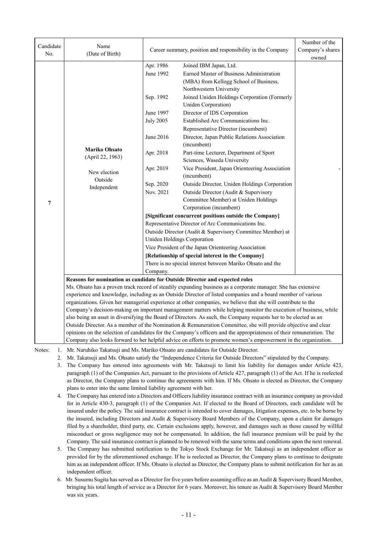| Candidate<br>No. | Name<br>(Date of Birth)                                                                                      | Career summary, position and responsibility in the Company |                                                                                                                              | Number of the<br>Company's shares |
|------------------|--------------------------------------------------------------------------------------------------------------|------------------------------------------------------------|------------------------------------------------------------------------------------------------------------------------------|-----------------------------------|
|                  |                                                                                                              |                                                            |                                                                                                                              | owned                             |
|                  |                                                                                                              | Apr. 1986                                                  | Joined IBM Japan, Ltd.                                                                                                       |                                   |
|                  |                                                                                                              | June 1992                                                  | Earned Master of Business Administration                                                                                     |                                   |
|                  |                                                                                                              |                                                            | (MBA) from Kellogg School of Business,                                                                                       |                                   |
|                  |                                                                                                              |                                                            | Northwestern University                                                                                                      |                                   |
|                  |                                                                                                              | Sep. 1992                                                  | Joined Uniden Holdings Corporation (Formerly                                                                                 |                                   |
|                  |                                                                                                              |                                                            | Uniden Corporation)                                                                                                          |                                   |
|                  |                                                                                                              | June 1997                                                  | Director of IDS Corporation                                                                                                  |                                   |
|                  |                                                                                                              | <b>July 2005</b>                                           | Established Arc Communications Inc.                                                                                          |                                   |
|                  |                                                                                                              |                                                            | Representative Director (incumbent)                                                                                          |                                   |
|                  |                                                                                                              | June 2016                                                  | Director, Japan Public Relations Association<br>(incumbent)                                                                  |                                   |
|                  | <b>Mariko Ohsato</b><br>(April 22, 1963)                                                                     | Apr. 2018                                                  | Part-time Lecturer, Department of Sport                                                                                      |                                   |
|                  |                                                                                                              |                                                            | Sciences, Waseda University                                                                                                  |                                   |
|                  | New election<br>Outside                                                                                      | Apr. 2019                                                  | Vice President, Japan Orienteering Association<br>(incumbent)                                                                |                                   |
|                  | Independent                                                                                                  | Sep. 2020                                                  | Outside Director, Uniden Holdings Corporation                                                                                |                                   |
|                  |                                                                                                              | Nov. 2021                                                  | Outside Director (Audit & Supervisory                                                                                        |                                   |
| 7                |                                                                                                              |                                                            | Committee Member) at Uniden Holdings                                                                                         |                                   |
|                  |                                                                                                              |                                                            | Corporation (incumbent)                                                                                                      |                                   |
|                  |                                                                                                              |                                                            | [Significant concurrent positions outside the Company]                                                                       |                                   |
|                  |                                                                                                              |                                                            | Representative Director of Arc Communications Inc.                                                                           |                                   |
|                  |                                                                                                              |                                                            | Outside Director (Audit & Supervisory Committee Member) at                                                                   |                                   |
|                  |                                                                                                              |                                                            | Uniden Holdings Corporation                                                                                                  |                                   |
|                  |                                                                                                              |                                                            | Vice President of the Japan Orienteering Association                                                                         |                                   |
|                  |                                                                                                              |                                                            | [Relationship of special interest in the Company]                                                                            |                                   |
|                  |                                                                                                              |                                                            | There is no special interest between Mariko Ohsato and the                                                                   |                                   |
|                  |                                                                                                              | Company.                                                   |                                                                                                                              |                                   |
|                  |                                                                                                              |                                                            | Reasons for nomination as candidate for Outside Director and expected roles                                                  |                                   |
|                  |                                                                                                              |                                                            | Ms. Ohsato has a proven track record of steadily expanding business as a corporate manager. She has extensive                |                                   |
|                  | experience and knowledge, including as an Outside Director of listed companies and a board member of various |                                                            |                                                                                                                              |                                   |
|                  |                                                                                                              |                                                            | organizations. Given her managerial experience at other companies, we believe that she will contribute to the                |                                   |
|                  |                                                                                                              |                                                            | Company's decision-making on important management matters while helping monitor the execution of business, while             |                                   |
|                  |                                                                                                              |                                                            | also being an asset in diversifying the Board of Directors. As such, the Company requests her to be elected as an            |                                   |
|                  |                                                                                                              |                                                            | Outside Director. As a member of the Nomination & Remuneration Committee, she will provide objective and clear               |                                   |
|                  |                                                                                                              |                                                            | opinions on the selection of candidates for the Company's officers and the appropriateness of their remuneration. The        |                                   |
|                  |                                                                                                              |                                                            | Company also looks forward to her helpful advice on efforts to promote women's empowerment in the organization.              |                                   |
| Notes:<br>1.     |                                                                                                              |                                                            | Mr. Naruhiko Takatsuji and Ms. Mariko Ohsato are candidates for Outside Director.                                            |                                   |
| 2.               |                                                                                                              |                                                            | Mr. Takatsuji and Ms. Ohsato satisfy the "Independence Criteria for Outside Directors" stipulated by the Company.            |                                   |
| 3.               |                                                                                                              |                                                            | The Company has entered into agreements with Mr. Takatsuji to limit his liability for damages under Article 423,             |                                   |
|                  |                                                                                                              |                                                            | paragraph (1) of the Companies Act, pursuant to the provisions of Article 427, paragraph (1) of the Act. If he is reelected  |                                   |
|                  |                                                                                                              |                                                            | as Director, the Company plans to continue the agreements with him. If Ms. Ohsato is elected as Director, the Company        |                                   |
|                  | plans to enter into the same limited liability agreement with her.                                           |                                                            |                                                                                                                              |                                   |
| 4.               |                                                                                                              |                                                            | The Company has entered into a Directors and Officers liability insurance contract with an insurance company as provided     |                                   |
|                  |                                                                                                              |                                                            | for in Article 430-3, paragraph (1) of the Companies Act. If elected to the Board of Directors, each candidate will be       |                                   |
|                  |                                                                                                              |                                                            | insured under the policy. The said insurance contract is intended to cover damages, litigation expenses, etc. to be borne by |                                   |
|                  |                                                                                                              |                                                            | the insured, including Directors and Audit & Supervisory Board Members of the Company, upon a claim for damages              |                                   |
|                  |                                                                                                              |                                                            | filed by a shareholder, third party, etc. Certain exclusions apply, however, and damages such as those caused by willful     |                                   |

Company. The said insurance contract is planned to be renewed with the same terms and conditions upon the next renewal. 5. The Company has submitted notification to the Tokyo Stock Exchange for Mr. Takatsuji as an independent officer as provided for by the aforementioned exchange. If he is reelected as Director, the Company plans to continue to designate him as an independent officer. If Ms. Ohsato is elected as Director, the Company plans to submit notification for her as an independent officer.

misconduct or gross negligence may not be compensated. In addition, the full insurance premium will be paid by the

6. Mr. Susumu Sugita has served as a Director for five years before assuming office as an Audit & Supervisory Board Member, bringing his total length of service as a Director for 6 years. Moreover, his tenure as Audit & Supervisory Board Member was six years.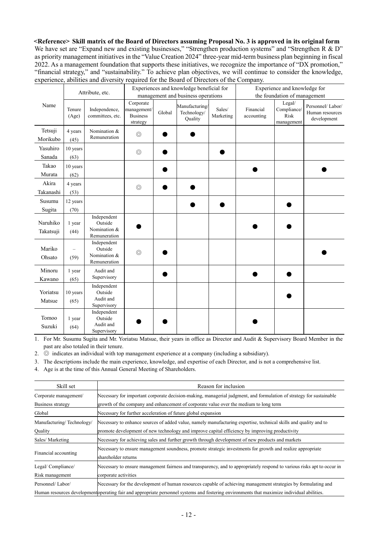**<Reference> Skill matrix of the Board of Directors assuming Proposal No. 3 is approved in its original form** We have set are "Expand new and existing businesses," "Strengthen production systems" and "Strengthen R  $\&$  D" as priority management initiatives in the "Value Creation 2024" three-year mid-term business plan beginning in fiscal 2022. As a management foundation that supports these initiatives, we recognize the importance of "DX promotion," "financial strategy," and "sustainability." To achieve plan objectives, we will continue to consider the knowledge, experience, abilities and diversity required for the Board of Directors of the Company.

|                       |                  | Attribute, etc.                                        |                                                         |        | Experiences and knowledge beneficial for<br>management and business operations |                     |                         | Experience and knowledge for<br>the foundation of management |                                                    |
|-----------------------|------------------|--------------------------------------------------------|---------------------------------------------------------|--------|--------------------------------------------------------------------------------|---------------------|-------------------------|--------------------------------------------------------------|----------------------------------------------------|
| Name                  | Tenure<br>(Age)  | Independence,<br>committees, etc.                      | Corporate<br>management/<br><b>Business</b><br>strategy | Global | Manufacturing/<br>Technology/<br>Quality                                       | Sales/<br>Marketing | Financial<br>accounting | Legal/<br>Compliance/<br>Risk<br>management                  | Personnel/Labor/<br>Human resources<br>development |
| Tetsuji<br>Morikubo   | 4 years<br>(45)  | Nomination &<br>Remuneration                           | $\circledcirc$                                          |        |                                                                                |                     |                         |                                                              |                                                    |
| Yasuhiro<br>Sanada    | 10 years<br>(63) |                                                        | $\circledcirc$                                          |        |                                                                                |                     |                         |                                                              |                                                    |
| Takao<br>Murata       | 10 years<br>(62) |                                                        |                                                         |        |                                                                                |                     |                         |                                                              |                                                    |
| Akira<br>Takanashi    | 4 years<br>(53)  |                                                        | $\circledcirc$                                          |        |                                                                                |                     |                         |                                                              |                                                    |
| Susumu<br>Sugita      | 12 years<br>(70) |                                                        |                                                         |        |                                                                                |                     |                         |                                                              |                                                    |
| Naruhiko<br>Takatsuji | 1 year<br>(44)   | Independent<br>Outside<br>Nomination &<br>Remuneration |                                                         |        |                                                                                |                     |                         |                                                              |                                                    |
| Mariko<br>Ohsato      | (59)             | Independent<br>Outside<br>Nomination &<br>Remuneration | $\circledcirc$                                          |        |                                                                                |                     |                         |                                                              |                                                    |
| Minoru<br>Kawano      | 1 year<br>(65)   | Audit and<br>Supervisory                               |                                                         |        |                                                                                |                     |                         |                                                              |                                                    |
| Yoriatsu<br>Matsue    | 10 years<br>(65) | Independent<br>Outside<br>Audit and<br>Supervisory     |                                                         |        |                                                                                |                     |                         |                                                              |                                                    |
| Tomoo<br>Suzuki       | 1 year<br>(64)   | Independent<br>Outside<br>Audit and<br>Supervisory     |                                                         |        |                                                                                |                     |                         |                                                              |                                                    |

1. For Mr. Susumu Sugita and Mr. Yoriatsu Matsue, their years in office as Director and Audit & Supervisory Board Member in the past are also totaled in their tenure.

2.  $\circledcirc$  indicates an individual with top management experience at a company (including a subsidiary).

3. The descriptions include the main experience, knowledge, and expertise of each Director, and is not a comprehensive list.

4. Age is at the time of this Annual General Meeting of Shareholders.

| Skill set                 | Reason for inclusion                                                                                                                        |
|---------------------------|---------------------------------------------------------------------------------------------------------------------------------------------|
| Corporate management/     | Necessary for important corporate decision-making, managerial judgment, and formulation of strategy for sustainable                         |
| Business strategy         | growth of the company and enhancement of corporate value over the medium to long term                                                       |
| Global                    | Necessary for further acceleration of future global expansion                                                                               |
| Manufacturing/Technology/ | Necessary to enhance sources of added value, namely manufacturing expertise, technical skills and quality and to                            |
| Quality                   | promote development of new technology and improve capital efficiency by improving productivity                                              |
| Sales/Marketing           | Necessary for achieving sales and further growth through development of new products and markets                                            |
| Financial accounting      | Necessary to ensure management soundness, promote strategic investments for growth and realize appropriate<br>shareholder returns           |
| Legal/Compliance/         | Necessary to ensure management fairness and transparency, and to appropriately respond to various risks apt to occur in                     |
| Risk management           | corporate activities                                                                                                                        |
| Personnel/Labor/          | Necessary for the development of human resources capable of achieving management strategies by formulating and                              |
|                           | Human resources development operating fair and appropriate personnel systems and fostering environments that maximize individual abilities. |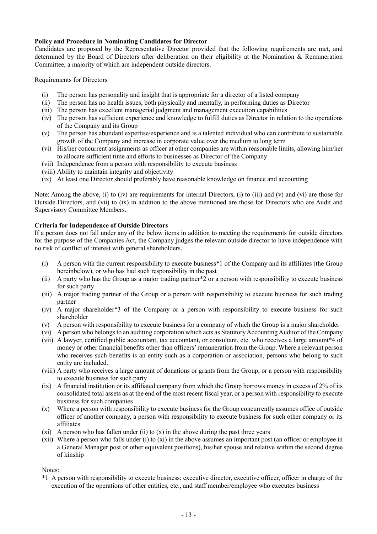#### **Policy and Procedure in Nominating Candidates for Director**

Candidates are proposed by the Representative Director provided that the following requirements are met, and determined by the Board of Directors after deliberation on their eligibility at the Nomination & Remuneration Committee, a majority of which are independent outside directors.

Requirements for Directors

- (i) The person has personality and insight that is appropriate for a director of a listed company
- (ii) The person has no health issues, both physically and mentally, in performing duties as Director
- (iii) The person has excellent managerial judgment and management execution capabilities
- (iv) The person has sufficient experience and knowledge to fulfill duties as Director in relation to the operations of the Company and its Group
- (v) The person has abundant expertise/experience and is a talented individual who can contribute to sustainable growth of the Company and increase in corporate value over the medium to long term
- (vi) His/her concurrent assignments as officer at other companies are within reasonable limits, allowing him/her to allocate sufficient time and efforts to businesses as Director of the Company
- (vii) Independence from a person with responsibility to execute business
- (viii) Ability to maintain integrity and objectivity
- (ix) At least one Director should preferably have reasonable knowledge on finance and accounting

Note: Among the above, (i) to (iv) are requirements for internal Directors, (i) to (iii) and (v) and (vi) are those for Outside Directors, and (vii) to (ix) in addition to the above mentioned are those for Directors who are Audit and Supervisory Committee Members.

#### **Criteria for Independence of Outside Directors**

If a person does not fall under any of the below items in addition to meeting the requirements for outside directors for the purpose of the Companies Act, the Company judges the relevant outside director to have independence with no risk of conflict of interest with general shareholders.

- (i) A person with the current responsibility to execute business\*1 of the Company and its affiliates (the Group hereinbelow), or who has had such responsibility in the past
- (ii) A party who has the Group as a major trading partner\*2 or a person with responsibility to execute business for such party
- (iii) A major trading partner of the Group or a person with responsibility to execute business for such trading partner
- (iv) A major shareholder\*3 of the Company or a person with responsibility to execute business for such shareholder
- (v) A person with responsibility to execute business for a company of which the Group is a major shareholder
- (vi) A person who belongs to an auditing corporation which acts as Statutory Accounting Auditor of the Company
- (vii) A lawyer, certified public accountant, tax accountant, or consultant, etc. who receives a large amount\*4 of money or other financial benefits other than officers' remuneration from the Group. Where a relevant person who receives such benefits is an entity such as a corporation or association, persons who belong to such entity are included.
- (viii) A party who receives a large amount of donations or grants from the Group, or a person with responsibility to execute business for such party
- (ix) A financial institution or its affiliated company from which the Group borrows money in excess of 2% of its consolidated total assets as at the end of the most recent fiscal year, or a person with responsibility to execute business for such companies
- (x) Where a person with responsibility to execute business for the Group concurrently assumes office of outside officer of another company, a person with responsibility to execute business for such other company or its affiliates
- (xi) A person who has fallen under (ii) to  $(x)$  in the above during the past three years
- (xii) Where a person who falls under (i) to (xi) in the above assumes an important post (an officer or employee in a General Manager post or other equivalent positions), his/her spouse and relative within the second degree of kinship

Notes:

\*1 A person with responsibility to execute business: executive director, executive officer, officer in charge of the execution of the operations of other entities, etc., and staff member/employee who executes business